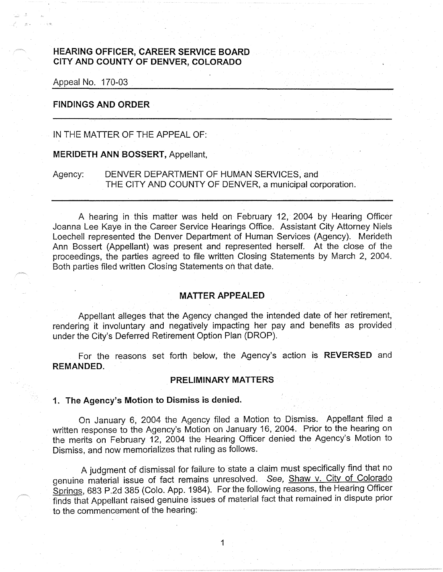### **HEARING OFFICER, CAREER SERVICE BOARD CITY AND COUNTY OF DENVER, COLORADO**

Appeai No. 170-03

### **FINDINGS AND ORDER**

IN THE MATTER OF THE APPEAL OF:

**MERIDETH ANN BOSSERT,** Appellant,

Agency: DENVER DEPARTMENT OF HUMAN SERVICES, and THE CITY AND COUNTY OF DENVER, a municipal corporation.

A hearing in this matter was held on February 12, 2004 by Hearing Officer Joanna Lee Kaye in the Career Service Hearings Office. Assistant City Attorney Niels Loechell represented the Denver Department of Human Services (Agency). Merideth Ann Bossert (Appellant) was present and represented herself. At the close of the proceedings, the parties agreed to file written Closing Statements by March 2, 2004. Both parties filed written Closing Statements on that date.

#### **MATTER APPEALED**

Appellant alleges that the Agency changed the intended date of her retirement, rendering it involuntary and negatively impacting her pay and benefits as provided under the City's Deferred Retirement Option Plan (DROP).

For the reasons set forth below, the Agency's action is **REVERSED** and **REMANDED.** 

#### **PRELIMINARY MATTERS**

### **1. The Agency's Motion to Dismiss is denied.**

On January 6, 2004 the Agency filed a Motion to Dismiss. Appellant filed a written response to the Agency's Motion on January 16, 2004. Prior to the hearing on the merits on February 12, 2004 the Hearing Officer denied the Agency's Motion to Dismiss, and now memorializes that ruling as follows.

A judgment of dismissal for failure to state a claim must specifically find that no genuine material issue of fact remains unresolved. See, Shaw v. City of Colorado Springs, 683 P .2d 385 (Colo. App. 1984 ). For the following reasons, the Hearing Officer finds that Appellant raised genuine issues of material fact that remained in dispute prior to the commencement of the hearing: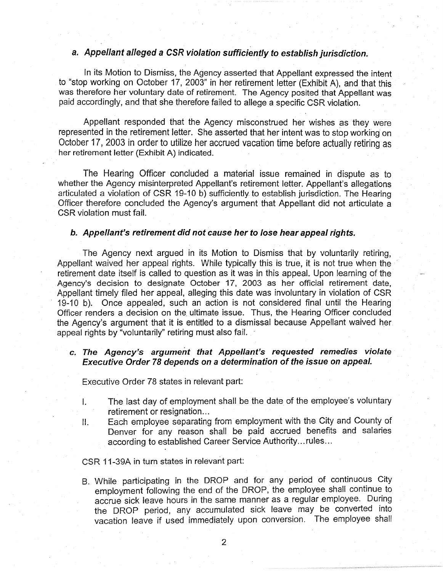# **a. Appellant alleged a CSR violation sufficiently to establish jurisdiction**

In its Motion to Dismiss, the Agency asserted that Appellant expressed the intent to "stop working on October 17, 2003" in her retirement letter (Exhibit A), and that this was therefore her voluntary date of retirement. The Agency posited that Appellant was paid accordingly, and that she therefore failed to allege a specific CSR violation.

Appellant responded that the Agency misconstrued her wishes as they were represented in the retirement letter. She asserted that her intent was to stop working on October 17, 2003 in order to utilize her accrued vacation time before actually retiring as her retirement letter (Exhibit A) indicated.

The Hearing Officer concluded a material issue remained in dispute as to whether the Agency misinterpreted Appellant's retirement letter. Appellant's allegations articulated a violation of CSR 19-10 b) sufficiently to establish jurisdiction. The Hearing Officer therefore concluded the Agency's argument that Appellant did not articulate a CSR violation must fail.

### **b. Appellant's retirement did not cause her to Jose hear appeal rights.**

The Agency next argued in its Motion to Dismiss that by voluntarily retiring, Appellant waived her appeal rights. While typically this is true, it is not true when the retirement date itself is called to question as it was in this appeal. Upon learning of the Agency's decision to designate October 17, 2003 as her official retirement date, Appellant timely filed her appeal, alleging this date was involuntary in violation of CSR 19-10 b). Once appealed, such an action is not considered final until the Hearing Officer renders a decision on the. ultimate issue. Thus, the Hearing Officer concluded the Agency's argument that it is entitled to a dismissal because Appellant waived her appeal rights by "voluntarily" retiring must also fail.

# **c. The Agency's argument that Appellant's requested remedies violate Executive Order 78 depends on a determination of the issue on appeal.**

Executive Order 78 states in relevant part:

- I. The last day of employment shall be the date of the employee's voluntary retirement or resignation...
- II. Each employee separating from employment with the City and County of Denver for any reason shall be paid accrued benefits and salaries according to established Career Service Authority ... rules ...

### CSR 11-39A in turn states in relevant part:

B. While participating in the DROP and for any period of continuous City employment following the end of the DROP, the employee shall continue to accrue sick leave hours in the same manner as a regular employee. During the DROP period, any accumulated sick leave may be converted into vacation leave if used immediately upon conversion. The employee shall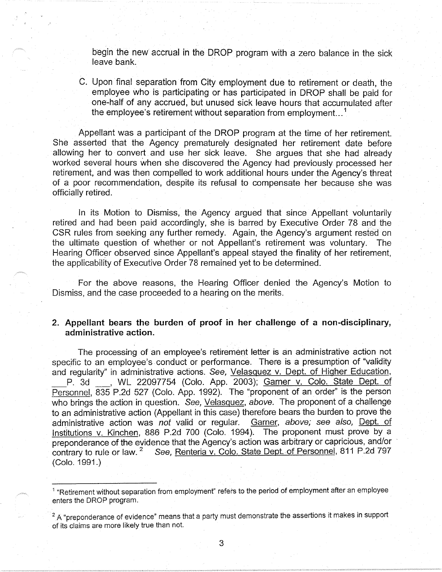begin the new accrual in the DROP program with a zero balance in the sick leave bank.

C. Upon final separation from City employment due to retirement or death, the employee who is participating or has participated in DROP shall be paid for one~half of any accrued, but unused sick leave hours that accumulated after the employee's retirement without separation from employment...<sup>1</sup>

Appellant was a participant of the DROP program at the time of her retirement. She asserted that the Agency prematurely designated her retirement date before allowing her to convert and use her sick leave. She argues that she had already worked several hours when she discovered the Agency had previously processed her retirement, and was then compelled to work additional hours under the Agency's threat of a poor recommendation, despite its refusal to compensate her because she was officially retired.

In its Motion to Dismiss, the Agency argued that since Appellant voluntarily retired and had been paid accordingly, she is barred by Executive Order 78 and the CSR rules from seeking any further remedy. Again, the Agency's argument rested on the ultimate question of whether or not Appellant's retirement was voluntary. The Hearing Officer observed since Appellant's appeal stayed the finality of her retirement, the applicability of Executive Order 78 remained yet to be determined.

For the above reasons, the Hearing Officer denied the Agency's Motion to Dismiss, and the case proceeded to a hearing on the merits.

### **2. Appellant bears the burden of proof in her challenge of a non-disciplinary, administrative action.**

The processing of an employee's retirement letter is an administrative action not specific to an employee's conduct or performance. There is a presumption of "validity and regularity" in administrative actions. See, Velasquez v. Dept. of Higher Education, P. 3d , WL 22097754 (Colo. App. 2003); Garner v. Colo. State Dept. of Personnel, 835 P.2d 527 (Colo. App. 1992). The ''proponent of an order" is the person who brings the action in question. See, Velasquez, above. The proponent of a challenge to an administrative action (Appellant in this case) therefore bears the burden to prove the administrative action was not valid or regular. Garner, above; see also, Dept. of Institutions v. Kinchen, 886 P.2d 700 (Colo. 1994). The proponent must prove by a preponderance of the evidence that the Agency's action was arbitrary or capricious, and/or contrary to rule or law. <sup>2</sup> See, Renteria v. Colo. State Dept. of Personnel, 811 P.2d 797 (Colo.1991.)

<sup>&</sup>lt;sup>1</sup> "Retirement without separation from employment" refers to the period of employment after an employee enters the DROP program.

 $2A$  "preponderance of evidence" means that a party must demonstrate the assertions it makes in support of its claims are more likely true than not.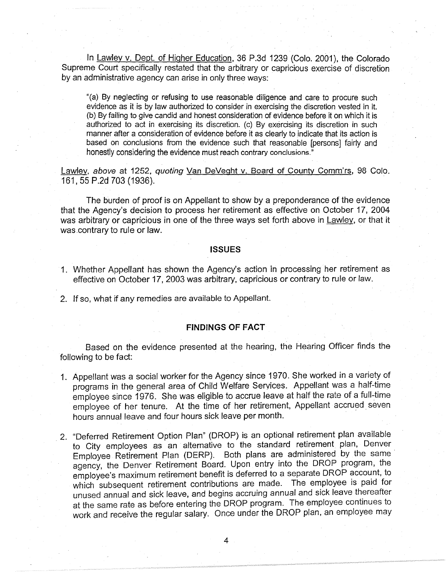In Lawley *v.* Dept. of Higher Education, 36 P.3d 1239 (Colo. 2001), the Colorado Supreme Court specifically restated that the arbitrary or capricious exercise of discretion by an administrative agency can arise in only three ways:

"(a) By neglecting or refusing to use reasonable diligence and care to procure such evidence as it is by law authorized to consider in exercising the discretion vested in it. (b) By failing to give candid and honest consideration of evidence before it on which it is authorized to act in exercising its discretion. (c) By exercising its discretion in such manner after a consideration of evidence before it as clearly to indicate that its action is based on conclusions from the evidence such that reasonable [persons] fairly and honestly considering the evidence must reach contrary conclusions."

Lawley, *above* at 1252, *quoting* Van DeVeght v. Board of County Comm'rs, 98 Colo. 161, 55 P.2d 703 (1936). .

The burden of proof is on Appellant to show by a preponderance of the evidence that the Agency's decision to process her retirement as effective on October 17, 2004 was arbitrary or capricious in one of the three ways set forth above in Lawley, or that it was.contrary to rule or law.

#### **ISSUES**

- 1. Whether Appellant has shown the Agency's action in processing her retirement as effective on October 17, 2003 was arbitrary, capricious or contrary to rule or law.
- 2. If so, what if any remedies are available to Appellant.

#### **FINDINGS OF FACT**

Based on the evidence presented at the hearing, the Hearing Officer finds the following to be fact:

- 1. Appellant was a social worker for the Agency since 1970. She worked in a variety of programs in the general area of Child Welfare Services. Appellant was a half-time employee since 1976. She was eligible to accrue leave at half the rate of a full~time employee of her tenure. At the time of her retirement, Appellant accrued\_ seven hours annual leave and four hours sick leave per month.
- . 2. "Deferred Retirement Option Plan" (DROP) is an optional retirement plan available to City employees as an alternative to the standard retirement plan, Denver Employee Retirement Plan (DERP). Both plans are administered by the same agency, the Denver Retirement Board. Upon entry into the DROP program, the employee's maximum retirement benefit is deferred to a separate DROP account, to which subsequent retirement contributions are made. The employee is paid for unused annual and sick leave, and begins accruing annual and sick leave thereafter at the same rate as before entering the DROP program. The employee continues to work and receive the regular salary. Once under the DROP plan, an employee may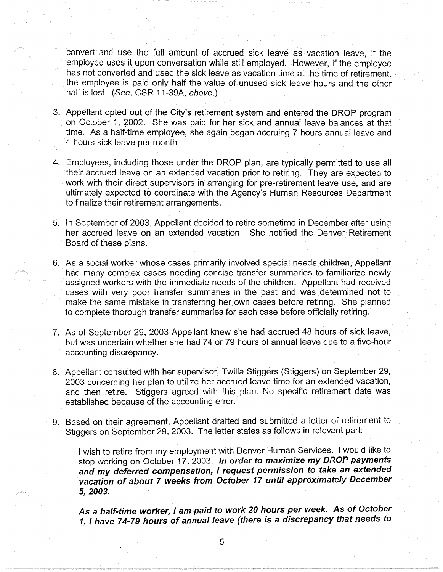convert and use the full amount of accrued sick leave as vacation leave, if the employee uses it upon conversation while still employed. However, if the employee has not converted and used the sick leave as vacation time at the time of retirement, the employee is paid only half the value of unused sick leave hours and the other half is lost. (See, CSR 11-39A, above.)

- 3. Appellant opted out of the City's retirement system and entered the DROP program . on October 1, 2002. She was paid for her sick and annual leave balances at that time. As a half-time employee, she again began accruing 7 hours annual leave and 4 hours sick leave per month.
- 4. Employees, including those under the DROP plan, are typically permitted to use all their accrued leave on an extended vacation prior to retiring. They are expected to work with their direct supervisors in arranging for pre-retirement leave use, and are ultimately expected to coordinate with the Agency's Human Resources Department to finalize their retirement arrangements.
- 5. In September of 2003, Appellant decided to retire sometime in December after using her accrued leave on an extended vacation. She notified the Denver Retirement Board of these plans.
- 6. As a social worker whose cases primarily involved special needs children, Appellant had many complex cases needing concise transfer summaries to familiarize newly assigned workers with the immediate needs of the children. Appellant had received cases with very poor transfer summaries in the past and was ;determined not to make the same mistake in transferring her own cases before retiring. She planned to complete thorough transfer summaries for each case before officially retiring.
- 7. As of September 29, 2003 Appellant knew she had accrued 48 hours of sick leave, but was uncertain whether she had 74 or 79 hours of annual leave due to a five-hour accounting discrepancy.
- 8. Appellant consulted with her supervisor, Twilla Stiggers (Stiggers) on September 29, 2003 concerning her plan to utilize her accrued leave time for an extended vacation, and then retire. Stiggers agreed with this plan. No specific retirement date was established because of the accounting error.
- 9. Based on their agreement, Appellant drafted and submitted a letter of retirement to Stiggers on September 29, 2003. The letter states as follows in relevant part:

I wish to retire from my employment with Denver Human Services. I would like to stop working on October 17, 2003. **In order** *to* **maximize my DROP payments and my deferred compensation,** I **request permission to take an extended vacation of about 7 weeks from October 17 until approximately December 5, 2003.** 

**As a half-time worker,** I **am paid** *to* **work 20 hours per week. As of October 1,** I **have 7 4-79 hours of annual leave (there is a discrepancy that needs to**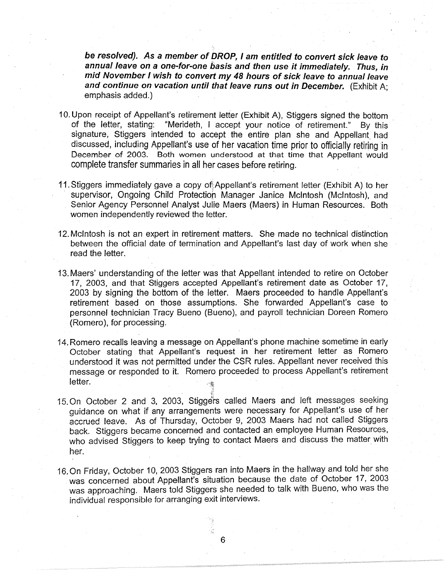**be resolved). As a member of DROP, I am entitled to convert sick leave to annual leave on a one-for-one basis and then use it immediately. Thus, in mid November I wish to convert my 48 hours of sick leave to annual leave and continue on vacation until that leave runs out in December.** (Exhibit A; emphasis added.)

- 10. Upon receipt of Appellant's retirement letter (Exhibit A), Stiggers signed the bottom of the letter, stating: "Merideth, I accept your notice of retirement." By this signature, Stiggers intended to accept the entire plan she and Appellant had discussed, including Appellant's use of her vacation time prior to officially retiring in December of 2003. Both women understood at that time that Appellant would complete transfer summaries in all her cases before retiring.
- 11. Stiggers immediately gave a copy of Appellant's retirement letter (Exhibit A) to her supervisor, Ongoing Child Protection Manager Janice McIntosh (McIntosh), and Senior Agency Personnel Analyst Julie Maers (Maers) in Human Resources. Both women independently reviewed the letter.
- 12. McIntosh is not an expert in retirement matters. She made no technical distinction between the official date of termination and Appellant's last day of work when she read the letter.
- 13. Maers' understanding of the letter was that Appellant intended to retire on October 17, 2003, and that Stiggers accepted Appellant's retirement date as October 17, 2003 by signing the bottom of the letter. Maers proceeded to handle Appellant's retirement based on those assumptions. She forwarded Appellant's case to personnel technician Tracy Bueno (Bueno), and payroll technician Doreen Romero (Romero), for processing.
- 14. Romero recalls leaving a message on Appellant's phone machine sometime in early October stating that Appellant's request in her retirement letter as Romero understood it was not permitted under the CSR rules. Appellant never received this message or responded to it. Romero proceeded to process Appellant's retirement letter.
- 15. On October 2 and 3, 2003, Stiggers called Maers and left messages seeking guidance on what if any arrangements were necessary for Appellant's use of her accrued leave. As of Thursday, October 9, 2003 Maers had not called Stiggers back. Stiggers became concerned and contacted an employee Human Resources, who advised Stiggers to keep trying to contact Maers and discuss the matter with her.
- 16. On Friday, October 10, 2003 Stiggers ran into Maers in the hallway and told her she was concerned about Appellant's situation because the date of October 17, 2003 was approaching. Maers told Stiggers she needed to talk with Bueno, who was the individual responsible for arranging exit interviews.

ł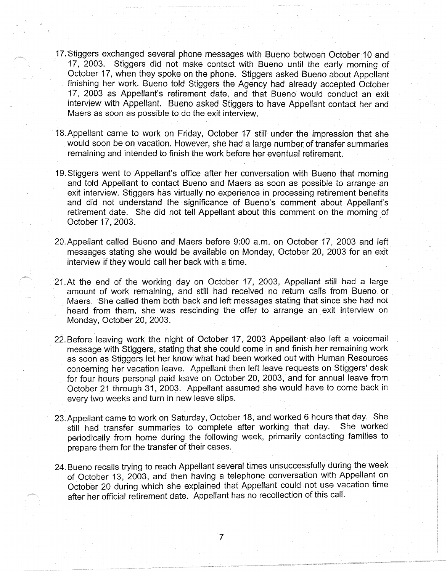- 17.Stiggers exchanged several phone messages with Bueno between October 10 and 17, 2003. Stiggers did not make contact with Bueno until the early morning of October 17, when they spoke on the phone. Stiggers asked Bueno about Appellant finishing her work. Bueno told Stiggers the Agency had already accepted October 17, 2003 as Appellant's retirement date, and that Bueno would conduct an exit interview with Appellant. Bueno asked Stiggers to have Appellant contact her and Maers as soon as possible to do the exit interview.
- 18.Appellant came to work on Friday, October 17 still under the impression that she would soon be on vacation. However, she had a large number of transfer summaries remaining and intended to finish the work before her eventual retirement.
- 19. Stiggers went to Appellant's office after her conversation with Bueno that morning and told Appellant to contact Bueno and Maers as soon as possible to arrange an exit interview. Stiggers has virtually no experience in processing retirement benefits and did not understand the significance of Buena's comment about Appellant's retirement date. She did not tell Appellant about this comment on the morning of October 17, 2003.
- 20.Appellant called Bueno and Maers before 9:00 a.m. on October 17, 2003 and left messages stating she would be available on Monday, October 20, 2003 for an exit interview if they would call her back with a time.
- 21. At the end of the working day on October 17, 2003, Appellant still had a large amount of work remaining, and still had received no return calls from Bueno or Maers. She called them both back and left messages stating that since she had not heard from them, she was rescinding the offer to arrange an exit interview on Monday, October 20, 2003.
- 22. Before leaving work the night of October 17, 2003 Appellant also left a voicemail message with Stiggers, stating that she could come in and finish her remaining work as soon as Stiggers let her know what had been worked out with Human Resources concerning her vacation leave. Appellant then left leave requests on Stiggers' desk for four hours personal paid leave on October 20, 2003, and for annual leave from October 21 through 31, 2003. Appellant assumed she would have to come back in every two weeks and turn in new leave slips.
- 23.Appellant came to work on Saturday, October 18, and worked 6 hours that day. She still had transfer summaries to complete after working that day. She worked periodically from home during the following week, primarily contacting families to prepare them for the transfer of their cases.
- 24. Bueno recalls trying to reach Appellant several times unsuccessfully during the week of October 13, 2003, and then having a telephone conversation with Appellant on October 20 during which she explained that Appellant could not use vacation time after her official retirement date. Appellant has no recollection of this call.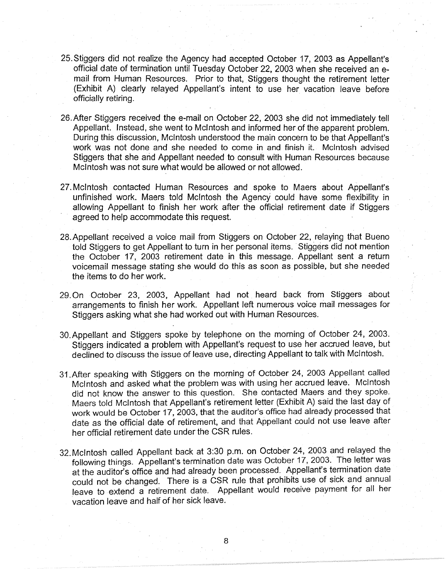- 25.Stiggers did not realize the Agency had accepted October 17, 2003 as Appellant's official date of termination until Tuesday October 22, 2003 when she received an email from Human Resources. Prior to that, Stiggers thought the retirement letter (Exhibit A) clearly relayed Appellant's intent to use her vacation leave before officially retiring.
- 26.After Stiggers received the e-mail on October 22, 2003 she did not immediately tell Appellant. Instead, she went to McIntosh and informed her of the apparent problem. During this discussion, McIntosh understood the main concern to be that Appellant's work was not done and she needed to come in and finish it. McIntosh advised Stiggers that she arid Appellant needed to consult with Human Resources because McIntosh was not sure what would be allowed or not allowed.
- 27. McIntosh contacted Human Resources and spoke to Maers about Appellant's unfinished work. Maers told McIntosh the Agency could have some flexibility in allowing Appellant to finish her work after the official retirement date if Stiggers agreed to help accommodate this request.
- 28.Appellant received a voice mail from Stiggers on October 22, relaying that Bueno told Stiggers to get Appellant to turn in her personal items. Stiggers did not mention the October 17, 2003 retirement date in this message. Appellant sent a return voicemail message stating she would do this as soon as possible, but she needed the items to do her work.
- 29. On October 23, 2003, Appellant had not heard back from Stiggers about arrangements to finish her work. Appellant left numerous voice mail messages for Stiggers asking what she had worked out with Human Resources.
- 30.Appellant and Stiggers spoke by telephone on the morning of October 24, 2003. Stiggers indicated a problem with Appellant's request to use her accrued leave, but declined to discuss the issue of leave use, directing Appellant to talk with McIntosh.
- 31.After speaking with Stiggers on the morning of October 24, 2003 Appellant called McIntosh and asked what the problem was with using her accrued leave. McIntosh did not know the answer to this question. She contacted Maers and they spoke. Maers told McIntosh that Appellant's retirement letter (Exhibit A) said the last day of work would be October 17, 2003, that the auditor's office had already processed that date as the official date of retirement, and that Appellant could not use leave after her official retirement date under the CSR rules.
- 32. McIntosh called Appellant back at 3:30 p.m. on October 24, 2003 and relayed the following things. Appellant's termination date was October 17, 2003. The letter was at the auditor's office and had already been processed. Appellant's termination date could not be changed. There is a CSR rule that prohibits use of sick and annual leave to extend a retirement date. Appellant would receive payment for all her vacation leave and half of her sick leave.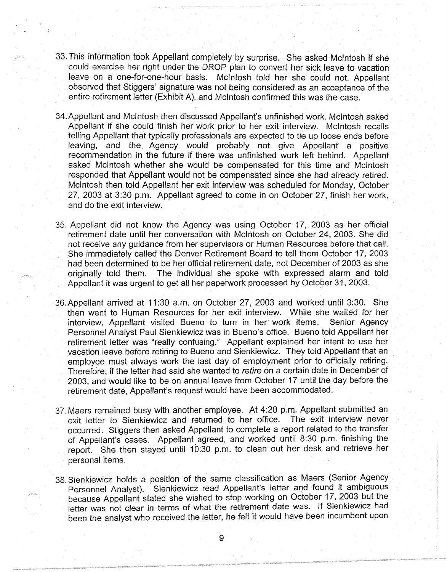- 33. This information took Appellant completely by surprise. She asked McIntosh if she could exercise her right under the DROP plan to convert her sick leave to vacation leave on a one-for-one-hour basis. McIntosh told her she could not. Appellant observed that Stiggers' signature was not being considered as an acceptance of the entire retirement letter (Exhibit A), and McIntosh confirmed this was the case.
- 34.Appellant and McIntosh then discussed Appellant's unfinished work. McIntosh asked Appellant if she could finish her work prior to her exit interview. McIntosh recalls telling Appellant that typically professionals are expected to tie up loose ends before leaving, and the Agency would probably not give Appellant a positive recommendation in the future if there was unfinished work left behind. Appellant asked McIntosh whether she would be compensated for this time and McIntosh responded that Appellant would not be compensated since she had already retired. McIntosh then told Appellant her exit interview was scheduled for Monday, October 27, 2003 at 3:30 p.m. Appellant agreed to come in on October 27, finish her work, and do the exit interview.
- 35. Appellant did not know the Agency was using October 17, 2003 as her official retirement date until her conversation with McIntosh on October 24, 2003. She did not receive any guidance from her supervisors or Human Resources before that call. She immediately called the Denver Retirement Board to tell them October 17, 2003 had been determined to be her official retirement date, not December of 2003 as she originally told them. The individual she spoke with expressed alarm and told Appellant it was urgent to get all her paperwork processed by October 31, 2003.
- 36.Appellant arrived at 11 :30 a.m. on October 27, 2003 and worked until 3:30. She then went to Human Resources for her exit interview. While she waited for her interview, Appellant visited Bueno to turn in her work items. Senior Agency Personnel Analyst Paul Sienkiewicz was in Bueno's office. Bueno told Appellant her retirement letter was "really confusing." Appellant explained her intent to use her vacation leave before retiring to Bueno and Sienkiewicz. They told Appellant that an employee must always work the last day of employment prior to officially retiring. Therefore, if the letter had said she wanted to retire on a certain date in December of 2003, and would like to be on annual leave from October 17 until the day before the retirement date, Appellant's request would have been accommodated.
- 37. Maers remained busy with another employee. At 4:20 p.m. Appellant submitted an exit letter to Sienkiewicz and returned to her office. The exit interview never occurred. Stiggers then asked Appellant to complete a report related to the transfer of Appellant's cases. Appellant agreed, and worked until 8:30 p.m. finishing the report. She then stayed until 10:30 p.m. to clean out her desk and retrieve her personal items.
- 38. Sienkiewicz holds a position of the same classification as Maers (Senior Agency Personnel Analyst). Sienkiewicz read Appellant's letter and found it ambiguous because Appellant stated she wished to stop working on October 17, 2003 but the letter was not clear in terms of what the retirement date was. If Sienkiewicz had been the analyst who received the letter, he felt it would have been incumbent upon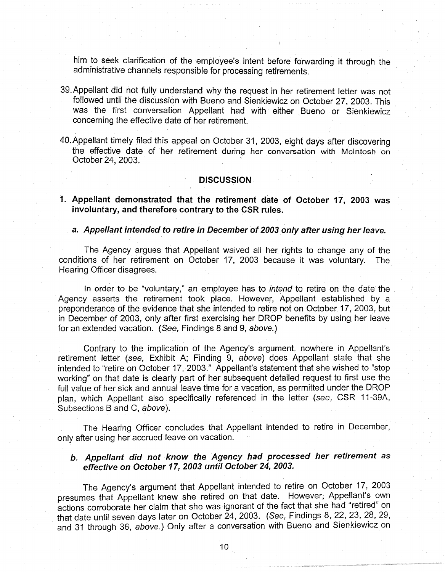him to seek clarification of the employee's intent before forwarding it through the administrative channels responsible for processing retirements.

- 39.Appellant did not fully understand why the request in her retirement letter was not followed until the discussion with Bueno and Sienkiewicz on October 27, 2003. This was the first conversation Appellant had with either Bueno or Sienkiewicz concerning the effective date of her retirement.
- 40.Appellant timely filed this appeal on October 31, 2003, eight days after discovering the effective date of her retirement during her conversation with McIntosh on October 24, 2003.

### **DISCUSSION**

**1. Appellant demonstrated that the retirement date of October 17, 2003 was involuntary, and therefore contrary to the CSR rules.** 

#### **a. Appellant intended to retire in December of 2003 only after using her leave.**

The Agency argues that Appellant waived all her rights to change any of the conditions of her retirement on October 17, 2003 because it was voluntary. The Hearing Officer disagrees.

In order to be "voluntary," an employee has to intend to retire on the date the Agency asserts the retirement took place. However, Appellant established by a preponderance of the evidence that she intended to retire not on October. 17, 2003, but in December of 2003, only after first exercising her DROP benefits by using her leave for an extended vacation. (See, Findings 8 and 9, above.)

Contrary to the implication of the Agency's argument, nowhere in Appellant's retirement letter (see, Exhibit A; Finding 9, above) does Appellant state that she intended to "retire on October 17, 2003." Appellant's statement that she wished to "stop working" on that date is clearly part of her subsequent detailed request to first use the full value of her sick and annual leave time for a vacation, as permitted under the DROP plan, which Appellant also. specifically referenced in the letter (see, CSR 11-39A, Subsections B and C, above).

The Hearing Officer concludes that Appellant intended to retire in December, only after using her accrued leave on vacation.

# **b. Appellant did not know the Agency had processed her retirement as effective on October 17, 2003 until October 24, 2003.**

The Agency's argument that Appellant intended to retire on October 17, 2003 presumes that Appellant knew she retired on that date. However, Appellant's own actions corroborate her claim that she was ignorant of the fact that she had "retired" on that date until seven days later on October 24, 2003. (See, Findings 8, 22, 23, 28, 29, and 31 through 36, above.) Only after a conversation with Bueno and Sienkiewicz on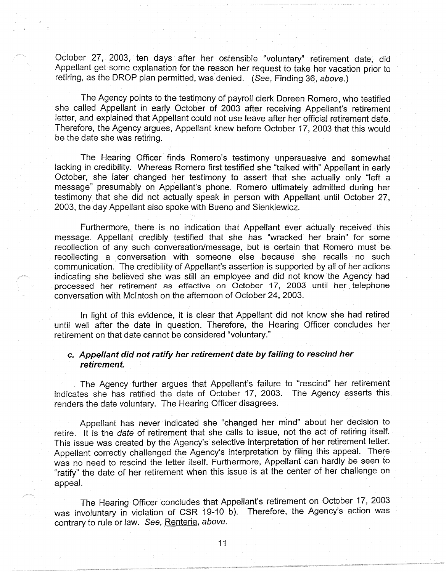October 27, 2003, ten days after her ostensible "voluntary" retirement date, did Appellant get some explanation for the reason her request to take her vacation prior to retiring, as the DROP plan permitted, was denied. (See, Finding 36, above.)

The Agency points to the testimony of payroll clerk Doreen Romero, who testified she called Appellant in early October of 2003 after receiving Appellant's retirement letter, and explained that Appellant could not use leave after her official retirement date. Therefore, the Agency argues, Appellant knew before October 17, 2003 that this would be the date she was retiring.

The Hearing Officer finds Romero's testimony unpersuasive and somewhat· lacking in credibility. Whereas Romero first testified she "talked with" Appellant in early October, she later changed her testimony to assert that she actually only "left a message" presumably on Appellant's phone. Romero ultimately admitted during her testimony that she did not actually speak in person with Appellant until October 27, 2003, the day Appellant also spoke with Bueno and Sienkiewicz.

Furthermore, there is no indication that Appellant ever actually received this message. Appellant credibly testified that she has "wracked her brain" for some recollection of any such conversation/message, but is certain that Romero must be recollecting a conversation with someone else because she recalls no such communication. The credibility of Appellant's assertion is supported by all of her actions indicating she believed she was still an employee and did not know the Agency had processed her retirement as effective on October 17, 2003 until her. telephone conversation with McIntosh on the afternoon of October 24, 2003.

In light of this evidence, it is clear that Appellant did not know she had retired until well after the date in question. Therefore, the Hearing Officer concludes her retirement on that date cannot be considered "voluntary."

### **c. Appellant did not ratify her retirement date by failing to rescind her retirement.**

The Agency further argues that Appellant's failure to "rescind" her retirement indicates she has ratified the date of October 17, 2003. The Agency asserts this renders the date voluntary. The Hearing Officer disagrees.

Appellant has never indicated she "changed her mind" about her decision to retire. It is the date of retirement that she calls to issue, not the act of retiring itself. This issue was created by the Agency's selective interpretation of her retirement letter. Appellant correctly challenged the Agency's interpretation by filing this appeal. There was no need to rescind the letter itself. Furthermore, Appellant can hardly be seen to "ratify" the date of her retirement when this issue is at the center of her challenge on appeal.

The Hearing Officer concludes that Appellant's retirement on October 17, 2003 was involuntary in violation of CSR 19-10 b). Therefore, the Agency's action was contrary to rule or law. See, Renteria, above.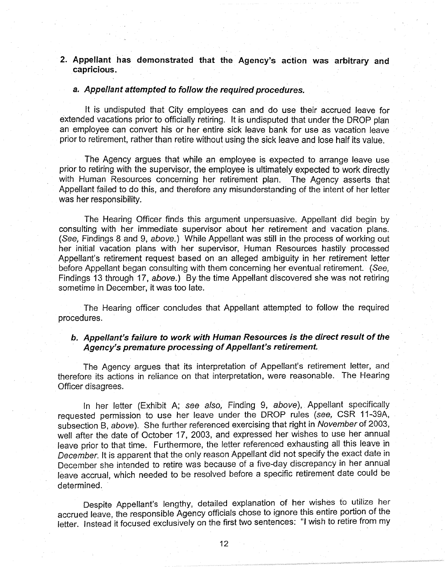# **2. Appellant has demonstrated that the Agency's action was arbitrary and capricious.**

#### **a. Appellant attempted to follow the required procedures.**

It is undisputed that City employees can and do use their accrued leave for extended vacations prior to officially retiring. It is undisputed that under the DROP plan an employee can convert his or her entire sick leave bank for use as vacation leave prior to retirement, rather than retire without using the sick leave and lose half its value.

The Agency argues that while an employee is expected to arrange leave use prior to retiring with the supervisor, the employee is ultimately expected to work directly with Human Resources concerning her retirement plan. The Agency asserts that Appellant failed to do this, and therefore any misunderstanding of the intent of her letter was her responsibility.

The Hearing Officer finds this argument unpersuasive. Appellant did begin by consulting with her immediate supervisor about her retirement and vacation plans. (See, Findings 8 and 9, above.) While Appellant was still in the process of working out her initial vacation plans with her supervisor, Human Resources hastily processed Appellant's retirement request based on an alleged ambiguity in her retirement letter before Appellant began consulting with them concerning her eventual retirement. (See, Findings 13 through 17, above.) By the time Appellant discovered she was not retiring sometime in December, it was too late.

The Hearing officer concludes that Appellant attempted to follow the required procedures.

### **b. Appellant's failure to work with Human Resources is the direct result of the Agency's premature processing of Appellant's retirement.**

The Agency argues that its interpretation of Appellant's retirement letter, and therefore its actions in reliance on that interpretation, were reasonable. The Hearing Officer disagrees.

In her letter (Exhibit A; see also, Finding 9, above), Appellant specifically requested permission to use her leave under the DROP rules (see, CSR 11-39A, subsection B, above). She further referenced exercising that right in November of 2003, well after the date of October 17, 2003, and expressed her wishes to use her annual leave prior to that time. Furthermore, the letter referenced exhausting all this leave in December. It is apparent that the only reason Appellant did not specify the exact date in December she intended to retire was because of a five-day discrepancy in her annual leave accrual, which needed to be resolved before a specific retirement date could be determined.

Despite Appellant's lengthy, detailed explanation of her wishes to utilize her accrued leave, the responsible Agency officials chose to ignore this entire portion of the letter. Instead it focused exclusively on the first two sentences: "I wish to retire from my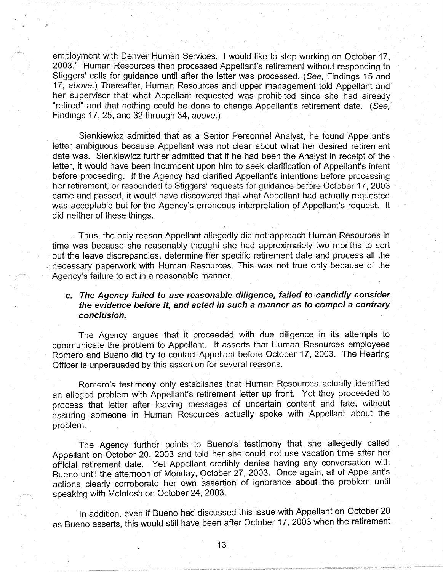employment with Denver Human Services. I would like to stop working on October 17, 2003." Human Resources then processed Appellant's retirement without responding to Stiggers' calls for guidance until after the letter was processed. (See, Findings 15 and 17, above.) Thereafter, Human Resources and upper management told Appellant and her supervisor that what Appellant requested was prohibited since she had already "retired" and that nothing could be done to change Appellant's retirement date. ( See, Findings 17, 25, and 32 through 34, above.)

Sienkiewicz admitted that as a Senior Personnel Analyst, he found Appellant's letter ambiguous because Appellant was not clear about what her desired retirement date was. Sienkiewicz further admitted that if he had been the Analyst in receipt of the letter, it would have been incumbent upon him to seek clarification of Appellant's intent before proceeding. If the Agency had clarified Appellant's intentions before processing her retirement, or responded to Stiggers' requests for guidance before October 17, 2003 came and passed, it would have discovered that what Appellant had actually requested was acceptable but for the Agency's erroneous interpretation of Appellant's request. It did neither of these things.

. Thus, the only reason Appellant allegedly did not approach Human Resources in time was because she reasonably thought she had approximately two months to sort out the leave discrepancies, determine her specific retirement date and process all the necessary paperwork with Human Resources. This was not true only because of the Agency's failure to act in a reasonable manner.

## **c. The Agency failed to use reasonable diligence, failed to candidly consider. the evidence before it, and acted in such a manner as to compel a contrary conclusion.**

The Agency argues that it proceeded with due diligence in its attempts to communicate the problem to Appellant. It asserts that Human Resources employees Romero and Bueno did try to contact Appellanf before October 17, 2003. The Hearing Officer is unpersuaded by this assertion for several reasons.

Romero's testimony only establishes that Human Resources actually identified an alleged problem with Appellant's retirement letter up front. Yet they proceeded to process that letter after leaving messages of uncertain content and fate, without assuring someone in Human Resources actually spoke with Appellant about the problem.

The Agency further points to Bueno's testimony that she allegedly called Appellant on October 20, 2003 and told her she could not use vacation time after her official retirement date. Yet Appellant credibly denies having any conversation with Bueno until the afternoon of Monday, October 27, 2003. Once again, all of Appellant's actions clearly corroborate her own assertion of ignorance about the problem until speaking with McIntosh on October 24, 2003.

In addition, even if Bueno had discussed this issue with Appellant on October 20 as Bueno asserts, this would still have been after October 17, 2003 when the retirement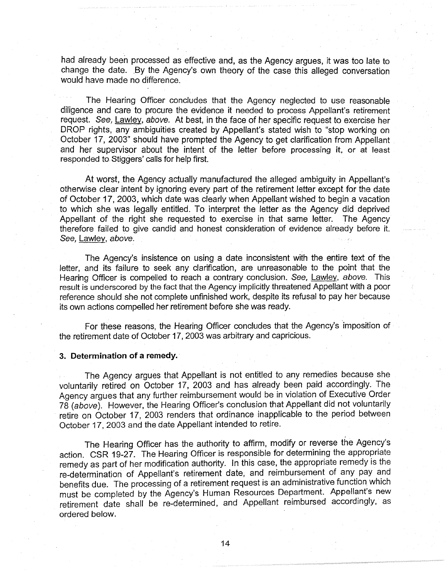had already been processed as effective and, as the Agency argues, it was too late to change the date. By the Agency's own theory of the case this alleged conversation would have made no difference.

The Hearing Officer concludes that the Agency neglected to use reasonable diligence and care to procure the evidence it needed to process Appellant's retirement request. See, Lawley, above. At best, in the face of her specific request to exercise her DROP rights, any ambiguities created by Appellant's stated wish to "stop working on October 17, 2003" should have prompted the Agency to get clarification from Appellant and her supervisor about the intent of the letter before processing it, or at least responded to Stiggers' calls for help first.

At worst, the Agency actually manufactured the alleged ambiguity in Appellant's otherwise clear intent by ignoring every part of the retirement letter except for the date of October 17, 2003, which date was clearly when Appellant wished to begin a vacation to which she was legally entitled. To interpret the letter as the Agency did deprived Appellant of the right she requested to exercise in that same letter. The Agency therefore failed to give candid and honest consideration of evidence already before it. See, Lawley, above.

The Agency's insistence on using a date inconsistent with the entire text of the letter, and its failure to seek any clarification, are unreasonable to the point that the Hearing Officer is compelled to reach a contrary conclusion. See, Lawley, above. This result is underscored by the fact that the Agency implicitly threatened Appellant with a poor reference should she not complete unfinished work, despite its refusal to pay her because its own actions compelled her retirement before she was ready.

For these reasons, the Hearing Officer concludes that the Agency's imposition of the retirement date of October 17, 2003 was arbitrary and capricious.

#### **3. Determination of a remedy.·**

The Agency argues that Appellant is not entitled to any remedies because she voluntarily retired on October 17, 2003 and has already been paid accordingly. The Agency argues that any further reimbursement would be in violation of Executive Order 78 (above). However, the Hearing Officer's conclusion that Appellant did not voluntarily retire on October 17, 2003 renders that ordinance inapplicable to the period between October 17, 2003 and the date Appellant intended to retire.

The Hearing Officer has the authority to affirm, modify or reverse the Agency's action. CSR 19-27. The Hearing Officer is responsible for determining the appropriate remedy as part of her modification authority. In this case, the appropriate remedy is the re-determination of Appellant's retirement date, and reimbursement of any pay and benefits due. The processing of a retirement request is an administrative function which must be completed by the Agency's Human Resources Department. Appellant's new retirement date shall be re-determined, and Appellant reimbursed accordingly, as ordered below.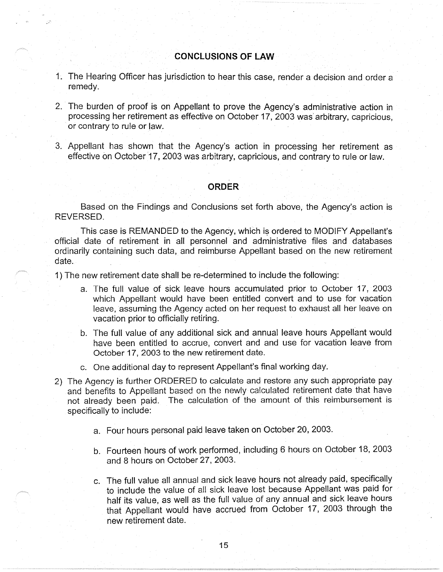### **CONCLUSIONS OF LAW**

- 1. The Hearing Officer has jurisdiction to hear this case, render a decision and order a remedy.
- 2. The burden of proof is on Appellant to prove the Agency's administrative action in processing her retirement as effective on October 17, 2003 was' arbitrary, capricious, or contrary to rule or law.
- 3. Appellant has shown that the Agency's action in processing her retirement as effective on October 17, 2003 was arbitrary, capricious, and contrary to rule or law.

#### **ORDER**

Based on the Findings and Conclusions set forth above, the Agency's action is REVERSED.

This case is REMANDED to the Agency, which is ordered to MODIFY Appellant's official date of retirement in all personnel and administrative files and databases ordinarily containing such data, and reimburse Appellant based on the new retirement date.

1) The new retirement date shall be re-determined to include the following:

- a. The full value of sick leave hours accumulated prior to October 17, 2003 which Appellant would have been entitled convert and to use for vacation leave, assuming the Agency acted on her request to exhaust all her leave on vacation prior to officially retiring.
- b. The full value of any additional sick and annual leave hours Appellant would have been entitled to accrue, convert and and use for vacation leave from October 17, 2003 to the new retirement date.
- c. One additional day to represent Appellant's final working day.
- 2) The Agency is further ORDERED to calculate and restore any such appropriate pay and benefits to Appellant based on the newly calculated retirement date that have not already been paid. The calculation of the amount of this reimbursement is specifically to include:
	- a. Four hours personal paid leave taken on October 20, 2003.
	- b. Fourteen hours of work performed, including 6 hours on October 18, 2003 and 8 hours on October 27, 2003.
	- c. The full value all annual and sick leave hours not already paid, specifically to include the value of all sick leave lost because Appellant was paid for half its value, as well as the full value of any annual and sick leave hours that Appellant would have accrued from October 17, 2003 through the new retirement date.